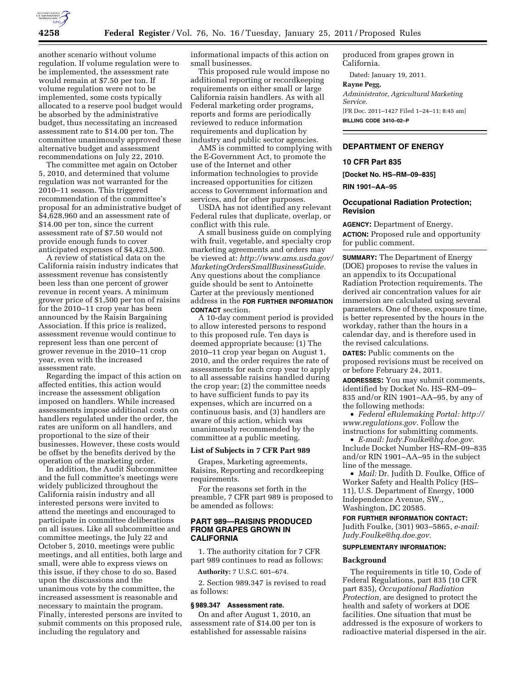

another scenario without volume regulation. If volume regulation were to be implemented, the assessment rate would remain at \$7.50 per ton. If volume regulation were not to be implemented, some costs typically allocated to a reserve pool budget would be absorbed by the administrative budget, thus necessitating an increased assessment rate to \$14.00 per ton. The committee unanimously approved these alternative budget and assessment recommendations on July 22, 2010.

The committee met again on October 5, 2010, and determined that volume regulation was not warranted for the 2010–11 season. This triggered recommendation of the committee's proposal for an administrative budget of \$4,628,960 and an assessment rate of \$14.00 per ton, since the current assessment rate of \$7.50 would not provide enough funds to cover anticipated expenses of \$4,423,500.

A review of statistical data on the California raisin industry indicates that assessment revenue has consistently been less than one percent of grower revenue in recent years. A minimum grower price of \$1,500 per ton of raisins for the 2010–11 crop year has been announced by the Raisin Bargaining Association. If this price is realized, assessment revenue would continue to represent less than one percent of grower revenue in the 2010–11 crop year, even with the increased assessment rate.

Regarding the impact of this action on affected entities, this action would increase the assessment obligation imposed on handlers. While increased assessments impose additional costs on handlers regulated under the order, the rates are uniform on all handlers, and proportional to the size of their businesses. However, these costs would be offset by the benefits derived by the operation of the marketing order.

In addition, the Audit Subcommittee and the full committee's meetings were widely publicized throughout the California raisin industry and all interested persons were invited to attend the meetings and encouraged to participate in committee deliberations on all issues. Like all subcommittee and committee meetings, the July 22 and October 5, 2010, meetings were public meetings, and all entities, both large and small, were able to express views on this issue, if they chose to do so. Based upon the discussions and the unanimous vote by the committee, the increased assessment is reasonable and necessary to maintain the program. Finally, interested persons are invited to submit comments on this proposed rule, including the regulatory and

informational impacts of this action on small businesses.

This proposed rule would impose no additional reporting or recordkeeping requirements on either small or large California raisin handlers. As with all Federal marketing order programs, reports and forms are periodically reviewed to reduce information requirements and duplication by industry and public sector agencies.

AMS is committed to complying with the E-Government Act, to promote the use of the Internet and other information technologies to provide increased opportunities for citizen access to Government information and services, and for other purposes.

USDA has not identified any relevant Federal rules that duplicate, overlap, or conflict with this rule.

A small business guide on complying with fruit, vegetable, and specialty crop marketing agreements and orders may be viewed at: *[http://www.ams.usda.gov/](http://www.ams.usda.gov/MarketingOrdersSmallBusinessGuide) [MarketingOrdersSmallBusinessGuide.](http://www.ams.usda.gov/MarketingOrdersSmallBusinessGuide)*  Any questions about the compliance guide should be sent to Antoinette Carter at the previously mentioned address in the **FOR FURTHER INFORMATION CONTACT** section.

A 10-day comment period is provided to allow interested persons to respond to this proposed rule. Ten days is deemed appropriate because: (1) The 2010–11 crop year began on August 1, 2010, and the order requires the rate of assessments for each crop year to apply to all assessable raisins handled during the crop year; (2) the committee needs to have sufficient funds to pay its expenses, which are incurred on a continuous basis, and (3) handlers are aware of this action, which was unanimously recommended by the committee at a public meeting.

# **List of Subjects in 7 CFR Part 989**

Grapes, Marketing agreements, Raisins, Reporting and recordkeeping requirements.

For the reasons set forth in the preamble, 7 CFR part 989 is proposed to be amended as follows:

# **PART 989—RAISINS PRODUCED FROM GRAPES GROWN IN CALIFORNIA**

1. The authority citation for 7 CFR part 989 continues to read as follows:

**Authority:** 7 U.S.C. 601–674.

2. Section 989.347 is revised to read as follows:

#### **§ 989.347 Assessment rate.**

On and after August 1, 2010, an assessment rate of \$14.00 per ton is established for assessable raisins

produced from grapes grown in California.

Dated: January 19, 2011.

# **Rayne Pegg,**

*Administrator, Agricultural Marketing Service.* 

[FR Doc. 2011–1427 Filed 1–24–11; 8:45 am] **BILLING CODE 3410–02–P** 

# **DEPARTMENT OF ENERGY**

#### **10 CFR Part 835**

**[Docket No. HS–RM–09–835]** 

**RIN 1901–AA–95** 

# **Occupational Radiation Protection; Revision**

**AGENCY:** Department of Energy. **ACTION:** Proposed rule and opportunity for public comment.

**SUMMARY:** The Department of Energy (DOE) proposes to revise the values in an appendix to its Occupational Radiation Protection requirements. The derived air concentration values for air immersion are calculated using several parameters. One of these, exposure time, is better represented by the hours in the workday, rather than the hours in a calendar day, and is therefore used in the revised calculations.

**DATES:** Public comments on the proposed revisions must be received on or before February 24, 2011.

**ADDRESSES:** You may submit comments, identified by Docket No. HS–RM–09– 835 and/or RIN 1901–AA–95, by any of the following methods:

• *Federal eRulemaking Portal: [http://](http://www.regulations.gov)  [www.regulations.gov.](http://www.regulations.gov)* Follow the instructions for submitting comments.

• *E-mail: [Judy.Foulke@hq.doe.gov.](mailto:Judy.Foulke@hq.doe.gov)*  Include Docket Number HS–RM–09–835 and/or RIN 1901–AA–95 in the subject line of the message.

• *Mail:* Dr. Judith D. Foulke, Office of Worker Safety and Health Policy (HS– 11), U.S. Department of Energy, 1000 Independence Avenue, SW., Washington, DC 20585.

#### **FOR FURTHER INFORMATION CONTACT:**

Judith Foulke, (301) 903–5865, *e-mail: [Judy.Foulke@hq.doe.gov.](mailto:Judy.Foulke@hq.doe.gov)* 

#### **SUPPLEMENTARY INFORMATION:**

#### **Background**

The requirements in title 10, Code of Federal Regulations, part 835 (10 CFR part 835), *Occupational Radiation Protection,* are designed to protect the health and safety of workers at DOE facilities. One situation that must be addressed is the exposure of workers to radioactive material dispersed in the air.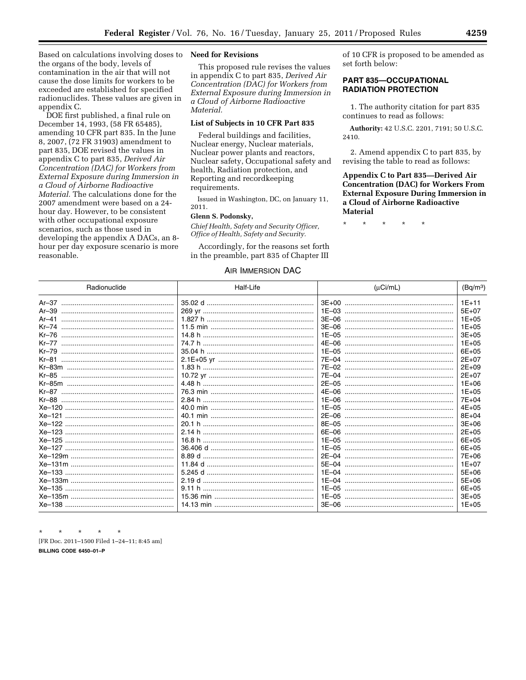Based on calculations involving doses to **Need for Revisions**  the organs of the body, levels of contamination in the air that will not cause the dose limits for workers to be exceeded are established for specified radionuclides. These values are given in appendix C.

DOE first published, a final rule on December 14, 1993, (58 FR 65485), amending 10 CFR part 835. In the June 8, 2007, (72 FR 31903) amendment to part 835, DOE revised the values in appendix C to part 835, *Derived Air Concentration (DAC) for Workers from External Exposure during Immersion in a Cloud of Airborne Radioactive Material.* The calculations done for the 2007 amendment were based on a 24 hour day. However, to be consistent with other occupational exposure scenarios, such as those used in developing the appendix A DACs, an 8 hour per day exposure scenario is more reasonable.

This proposed rule revises the values in appendix C to part 835, *Derived Air Concentration (DAC) for Workers from External Exposure during Immersion in a Cloud of Airborne Radioactive Material.* 

# **List of Subjects in 10 CFR Part 835**

Federal buildings and facilities, Nuclear energy, Nuclear materials, Nuclear power plants and reactors, Nuclear safety, Occupational safety and health, Radiation protection, and Reporting and recordkeeping requirements.

Issued in Washington, DC, on January 11, 2011.

# **Glenn S. Podonsky,**

*Chief Health, Safety and Security Officer, Office of Health, Safety and Security.* 

Accordingly, for the reasons set forth in the preamble, part 835 of Chapter III

# AIR IMMERSION DAC

of 10 CFR is proposed to be amended as set forth below:

# **PART 835—OCCUPATIONAL RADIATION PROTECTION**

1. The authority citation for part 835 continues to read as follows:

**Authority:** 42 U.S.C. 2201, 7191; 50 U.S.C. 2410.

2. Amend appendix C to part 835, by revising the table to read as follows:

# **Appendix C to Part 835—Derived Air Concentration (DAC) for Workers From External Exposure During Immersion in a Cloud of Airborne Radioactive Material**

\* \* \* \* \*

| Radionuclide | Half-Life | $(\mu$ Ci/mL) | (Bq/m <sup>3</sup> ) |
|--------------|-----------|---------------|----------------------|
|              |           |               | $1E+11$              |
|              |           |               | $5F+07$              |
| $Ar-41$      |           |               | $1E + 05$            |
|              |           |               | $1E + 05$            |
| $Kr-76$      |           |               | $3E + 05$            |
|              |           |               | $1E + 05$            |
| $Kr-79$      |           |               | $6E + 05$            |
| $Kr-81$      |           |               | $2E+07$              |
|              |           |               | $2E + 09$            |
|              |           |               | $2E + 07$            |
|              |           |               | $1E + 06$            |
|              |           |               | $1E + 05$            |
|              |           |               | $7E + 04$            |
|              |           |               | $4E + 05$            |
|              |           |               | $8E + 04$            |
|              |           |               | $3E+06$              |
|              |           |               | $2E + 05$            |
|              |           |               | $6E + 05$            |
|              |           |               | 6E+05                |
|              |           |               | 7E+06                |
|              |           |               | $1E+07$              |
|              |           |               | $5E + 06$            |
|              |           |               | $5E+06$              |
|              |           |               | $6E + 05$            |
|              |           |               | $3E + 05$            |
|              |           |               | $1E+05$              |

\* \* \* \* \*

[FR Doc. 2011–1500 Filed 1–24–11; 8:45 am]

**BILLING CODE 6450–01–P**